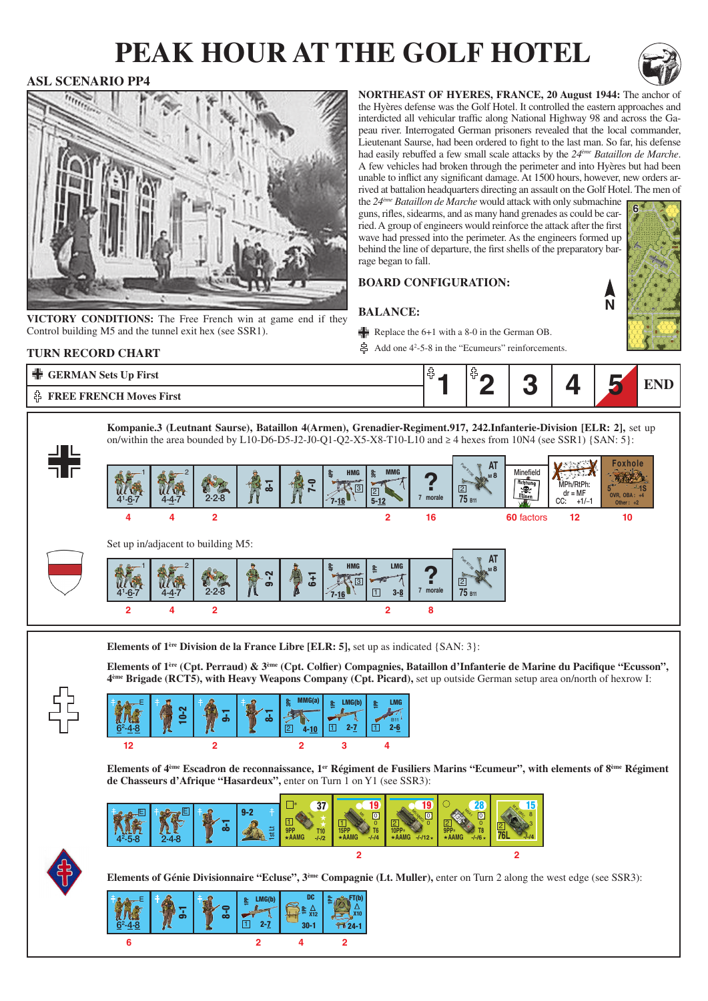# **peak hour at the golf hotel**



**N**

**6**

### **ASL SCENARIO PP4**



**VICTORY CONDITIONS:** The Free French win at game end if they Control building M5 and the tunnel exit hex (see SSR1).

**northeast of hyeres, france, 20 August 1944:** The anchor of the Hyères defense was the Golf Hotel. It controlled the eastern approaches and interdicted all vehicular traffic along National Highway 98 and across the Gapeau river. Interrogated German prisoners revealed that the local commander, Lieutenant Saurse, had been ordered to fight to the last man. So far, his defense had easily rebuffed a few small scale attacks by the *24ème Bataillon de Marche*. A few vehicles had broken through the perimeter and into Hyères but had been unable to inflict any significant damage. At 1500 hours, however, new orders arrived at battalion headquarters directing an assault on the Golf Hotel. The men of

the *24ème Bataillon de Marche* would attack with only submachine guns, rifles, sidearms, and as many hand grenades as could be carried. A group of engineers would reinforce the attack after the first wave had pressed into the perimeter. As the engineers formed up behind the line of departure, the first shells of the preparatory barrage began to fall.

**Board configuration:**

### **Balance:**

- Replace the  $6+1$  with a 8-0 in the German OB.
- Add one  $4^2$ -5-8 in the "Ecumeurs" reinforcements.





**2 2**

≞ <sub>x12</sub><br>30-1

FT(b)

X10

 $71.24-$ 

1PP

**4**

<u>್</u>ಯ

2-7

 $E$   $\uparrow$   $\mathcal{R}$   $\uparrow$   $\mathcal{R}$   $\downarrow$   $E$  LMG(b)  $\downarrow$  DC

1PP LMG(b)

 $\overline{11}$ 

5

**6**

 $6^2 - 4 - 8$